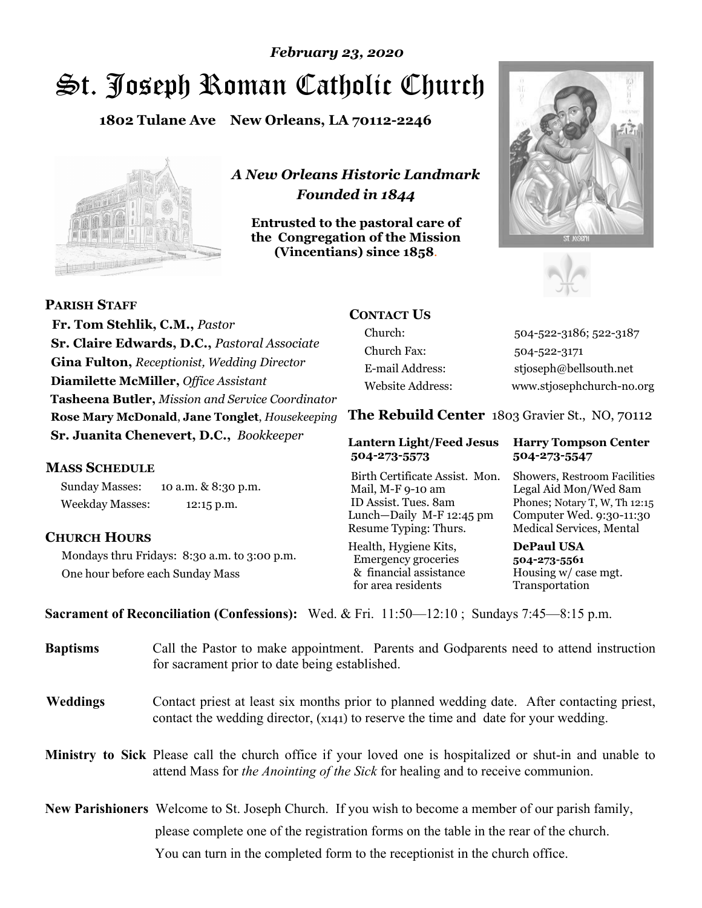# St. Joseph Roman Catholic Church *February 23, 2020*

**1802 Tulane Ave New Orleans, LA 70112-2246**



*A New Orleans Historic Landmark Founded in 1844* 

**Entrusted to the pastoral care of the Congregation of the Mission (Vincentians) since 1858**.





 **Fr. Tom Stehlik, C.M.,** *Pastor* **Sr. Claire Edwards, D.C.,** *Pastoral Associate* **Gina Fulton,** *Receptionist, Wedding Director* **Diamilette McMiller,** *Office Assistant* **Tasheena Butler,** *Mission and Service Coordinator* **Rose Mary McDonald**, **Jane Tonglet**, *Housekeeping* **Sr. Juanita Chenevert, D.C.,** *Bookkeeper* 

### **MASS SCHEDULE**

**PARISH STAFF**

Sunday Masses: 10 a.m. & 8:30 p.m. Weekday Masses: 12:15 p.m.

#### **CHURCH HOURS**

Mondays thru Fridays: 8:30 a.m. to 3:00 p.m. One hour before each Sunday Mass

# **CONTACT US**

Church: 504-522-3186; 522-3187 Church Fax: 504-522-3171 E-mail Address: stjoseph@bellsouth.net Website Address: www.stjosephchurch-no.org

**The Rebuild Center** 1803 Gravier St., NO, 70112

#### **Lantern Light/Feed Jesus Harry Tompson Center 504-273-5573 504-273-5547**

Birth Certificate Assist. Mon. Showers, Restroom Facilities Mail, M-F 9-10 am Legal Aid Mon/Wed 8am ID Assist. Tues. 8am Phones; Notary T, W, Th 12:15 Lunch—Daily M-F 12:45 pm Computer Wed. 9:30-11:30 Resume Typing: Thurs. Medical Services, Mental

Health, Hygiene Kits, **DePaul USA**  Emergency groceries **504-273-5561** & financial assistance Housing w/ case mgt. for area residents Transportation

**Sacrament of Reconciliation (Confessions):** Wed. & Fri. 11:50—12:10 ; Sundays 7:45—8:15 p.m.

| <b>Baptisms</b> | Call the Pastor to make appointment. Parents and Godparents need to attend instruction<br>for sacrament prior to date being established.                                                            |  |
|-----------------|-----------------------------------------------------------------------------------------------------------------------------------------------------------------------------------------------------|--|
| <b>Weddings</b> | Contact priest at least six months prior to planned wedding date. After contacting priest,<br>contact the wedding director, (x141) to reserve the time and date for your wedding.                   |  |
|                 | <b>Ministry to Sick</b> Please call the church office if your loved one is hospitalized or shut-in and unable to<br>attend Mass for the Anointing of the Sick for healing and to receive communion. |  |
|                 | New Parishioners Welcome to St. Joseph Church. If you wish to become a member of our parish family,                                                                                                 |  |
|                 | please complete one of the registration forms on the table in the rear of the church.                                                                                                               |  |
|                 | You can turn in the completed form to the reception is the church office.                                                                                                                           |  |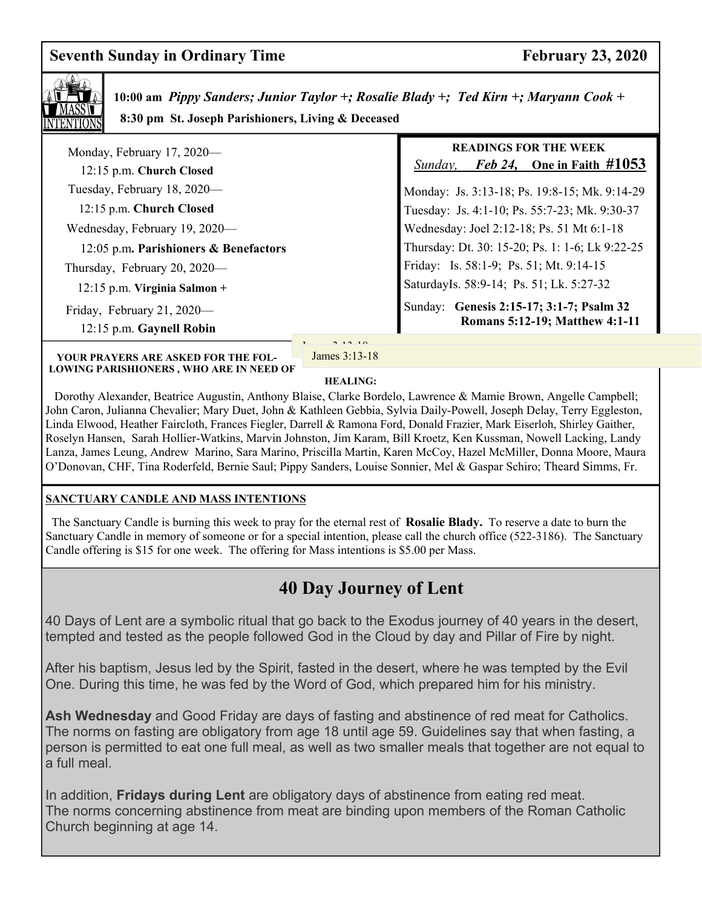# **Seventh Sunday in Ordinary Time February 23, 2020**



 **10:00 am** *Pippy Sanders; Junior Taylor +; Rosalie Blady +; Ted Kirn +; Maryann Cook +*  **8:30 pm St. Joseph Parishioners, Living & Deceased** 

| Monday, February 17, 2020—<br>12:15 p.m. Church Closed | <b>READINGS FOR THE WEEK</b><br><i>Feb 24</i> , One in Faith $\#1053$<br>Sunday, |
|--------------------------------------------------------|----------------------------------------------------------------------------------|
| Tuesday, February 18, 2020—                            | Monday: Js. 3:13-18; Ps. 19:8-15; Mk. 9:14-29                                    |
| 12:15 p.m. Church Closed                               | Tuesday: Js. 4:1-10; Ps. 55:7-23; Mk. 9:30-37                                    |
| Wednesday, February 19, 2020—                          | Wednesday: Joel 2:12-18; Ps. 51 Mt 6:1-18                                        |
| 12:05 p.m. Parishioners & Benefactors                  | Thursday: Dt. 30: 15-20; Ps. 1: 1-6; Lk 9:22-25                                  |
| Thursday, February 20, 2020—                           | Friday: Is. 58:1-9; Ps. 51; Mt. 9:14-15                                          |
| $12:15$ p.m. Virginia Salmon +                         | SaturdayIs. 58:9-14; Ps. 51; Lk. 5:27-32                                         |
| Friday, February 21, 2020-<br>12:15 p.m. Gaynell Robin | Sunday: Genesis 2:15-17; 3:1-7; Psalm 32<br>Romans 5:12-19; Matthew 4:1-11       |

**YOUR PRAYERS ARE ASKED FOR THE FOL-LOWING PARISHIONERS , WHO ARE IN NEED OF** 

 $J_1$   $\alpha$  10.10. James 3:13-18

#### **HEALING:**

 Dorothy Alexander, Beatrice Augustin, Anthony Blaise, Clarke Bordelo, Lawrence & Mamie Brown, Angelle Campbell; John Caron, Julianna Chevalier; Mary Duet, John & Kathleen Gebbia, Sylvia Daily-Powell, Joseph Delay, Terry Eggleston, Linda Elwood, Heather Faircloth, Frances Fiegler, Darrell & Ramona Ford, Donald Frazier, Mark Eiserloh, Shirley Gaither, Roselyn Hansen, Sarah Hollier-Watkins, Marvin Johnston, Jim Karam, Bill Kroetz, Ken Kussman, Nowell Lacking, Landy Lanza, James Leung, Andrew Marino, Sara Marino, Priscilla Martin, Karen McCoy, Hazel McMiller, Donna Moore, Maura O'Donovan, CHF, Tina Roderfeld, Bernie Saul; Pippy Sanders, Louise Sonnier, Mel & Gaspar Schiro; Theard Simms, Fr.

#### **SANCTUARY CANDLE AND MASS INTENTIONS**

 The Sanctuary Candle is burning this week to pray for the eternal rest of **Rosalie Blady.** To reserve a date to burn the Sanctuary Candle in memory of someone or for a special intention, please call the church office (522-3186). The Sanctuary Candle offering is \$15 for one week. The offering for Mass intentions is \$5.00 per Mass.

# **40 Day Journey of Lent**

40 Days of Lent are a symbolic ritual that go back to the Exodus journey of 40 years in the desert, tempted and tested as the people followed God in the Cloud by day and Pillar of Fire by night.

After his baptism, Jesus led by the Spirit, fasted in the desert, where he was tempted by the Evil One. During this time, he was fed by the Word of God, which prepared him for his ministry.

**Ash Wednesday** and Good Friday are days of fasting and abstinence of red meat for Catholics. The norms on fasting are obligatory from age 18 until age 59. Guidelines say that when fasting, a person is permitted to eat one full meal, as well as two smaller meals that together are not equal to a full meal.

In addition, **Fridays during Lent** are obligatory days of abstinence from eating red meat. The norms concerning abstinence from meat are binding upon members of the Roman Catholic Church beginning at age 14.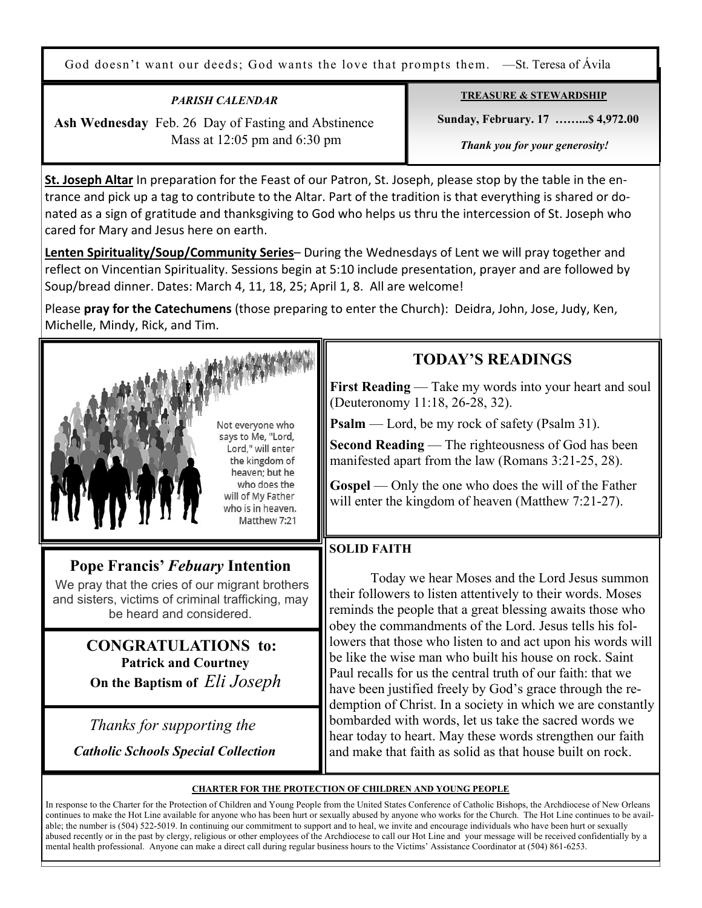God doesn't want our deeds; God wants the love that prompts them. —St. Teresa of Ávila

## *PARISH CALENDAR*

 **Ash Wednesday** Feb. 26 Day of Fasting and Abstinence Mass at 12:05 pm and 6:30 pm

**TREASURE & STEWARDSHIP**

 **Sunday, February. 17 ……...\$ 4,972.00** 

 *Thank you for your generosity!* 

**St. Joseph Altar** In preparation for the Feast of our Patron, St. Joseph, please stop by the table in the entrance and pick up a tag to contribute to the Altar. Part of the tradition is that everything is shared or donated as a sign of gratitude and thanksgiving to God who helps us thru the intercession of St. Joseph who cared for Mary and Jesus here on earth.

**Lenten Spirituality/Soup/Community Series**– During the Wednesdays of Lent we will pray together and reflect on Vincentian Spirituality. Sessions begin at 5:10 include presentation, prayer and are followed by Soup/bread dinner. Dates: March 4, 11, 18, 25; April 1, 8. All are welcome!

Please **pray for the Catechumens** (those preparing to enter the Church): Deidra, John, Jose, Judy, Ken, Michelle, Mindy, Rick, and Tim.



 *Thanks for supporting the Catholic Schools Special Collection*

#### **CHARTER FOR THE PROTECTION OF CHILDREN AND YOUNG PEOPLE**

bombarded with words, let us take the sacred words we hear today to heart. May these words strengthen our faith and make that faith as solid as that house built on rock.

In response to the Charter for the Protection of Children and Young People from the United States Conference of Catholic Bishops, the Archdiocese of New Orleans continues to make the Hot Line available for anyone who has been hurt or sexually abused by anyone who works for the Church. The Hot Line continues to be available; the number is (504) 522-5019. In continuing our commitment to support and to heal, we invite and encourage individuals who have been hurt or sexually abused recently or in the past by clergy, religious or other employees of the Archdiocese to call our Hot Line and your message will be received confidentially by a mental health professional. Anyone can make a direct call during regular business hours to the Victims' Assistance Coordinator at (504) 861-6253.